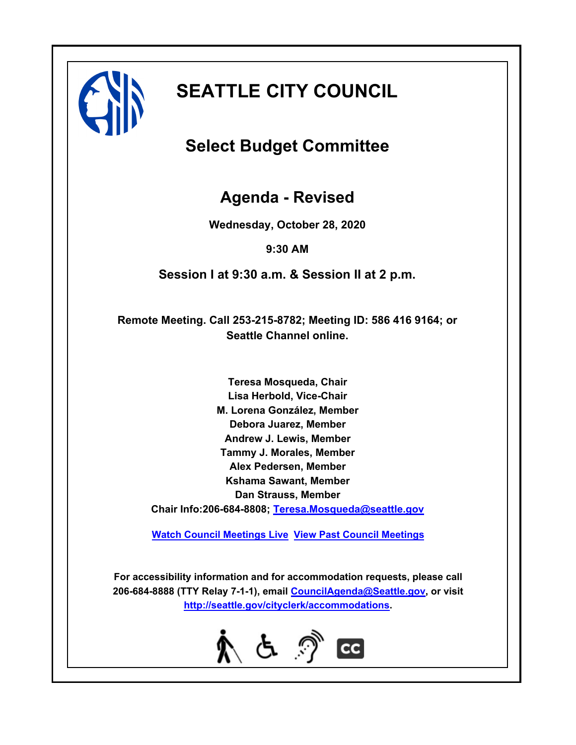

# **SEATTLE CITY COUNCIL**

### **Select Budget Committee**

**Agenda - Revised**

**Wednesday, October 28, 2020**

**9:30 AM**

**Session I at 9:30 a.m. & Session II at 2 p.m.**

**Remote Meeting. Call 253-215-8782; Meeting ID: 586 416 9164; or Seattle Channel online.**

**Teresa Mosqueda, Chair Lisa Herbold, Vice-Chair M. Lorena González, Member Debora Juarez, Member Andrew J. Lewis, Member Tammy J. Morales, Member Alex Pedersen, Member Kshama Sawant, Member Dan Strauss, Member Chair Info:206-684-8808; [Teresa.Mosqueda@seattle.gov](mailto: Teresa.Mosqueda@seattle.gov)**

**[Watch Council Meetings Live](http://www.seattle.gov/council/councillive.htm) [View Past Council Meetings](http://www.seattlechannel.org/videos/browseVideos.asp?topic=council)**

**For accessibility information and for accommodation requests, please call 206-684-8888 (TTY Relay 7-1-1), email [CouncilAgenda@Seattle.gov](mailto: Council.Agenda@seattle.gov), or visit <http://seattle.gov/cityclerk/accommodations>.**

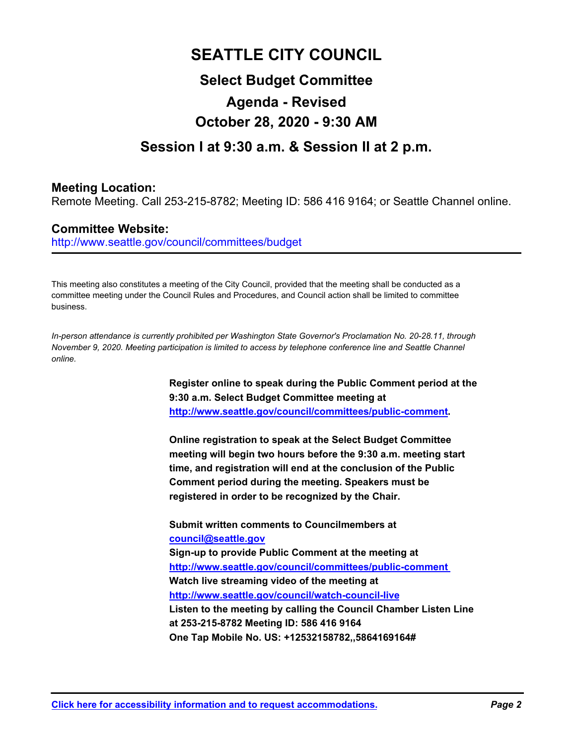## **SEATTLE CITY COUNCIL Select Budget Committee Agenda - Revised October 28, 2020 - 9:30 AM**

### **Session I at 9:30 a.m. & Session II at 2 p.m.**

#### **Meeting Location:**

Remote Meeting. Call 253-215-8782; Meeting ID: 586 416 9164; or Seattle Channel online.

#### **Committee Website:**

http://www.seattle.gov/council/committees/budget

This meeting also constitutes a meeting of the City Council, provided that the meeting shall be conducted as a committee meeting under the Council Rules and Procedures, and Council action shall be limited to committee business.

*In-person attendance is currently prohibited per Washington State Governor's Proclamation No. 20-28.11, through November 9, 2020. Meeting participation is limited to access by telephone conference line and Seattle Channel online.*

> **Register online to speak during the Public Comment period at the 9:30 a.m. Select Budget Committee meeting at http://www.seattle.gov/council/committees/public-comment.**

**Online registration to speak at the Select Budget Committee meeting will begin two hours before the 9:30 a.m. meeting start time, and registration will end at the conclusion of the Public Comment period during the meeting. Speakers must be registered in order to be recognized by the Chair.**

**Submit written comments to Councilmembers at council@seattle.gov Sign-up to provide Public Comment at the meeting at http://www.seattle.gov/council/committees/public-comment Watch live streaming video of the meeting at http://www.seattle.gov/council/watch-council-live Listen to the meeting by calling the Council Chamber Listen Line at 253-215-8782 Meeting ID: 586 416 9164 One Tap Mobile No. US: +12532158782,,5864169164#**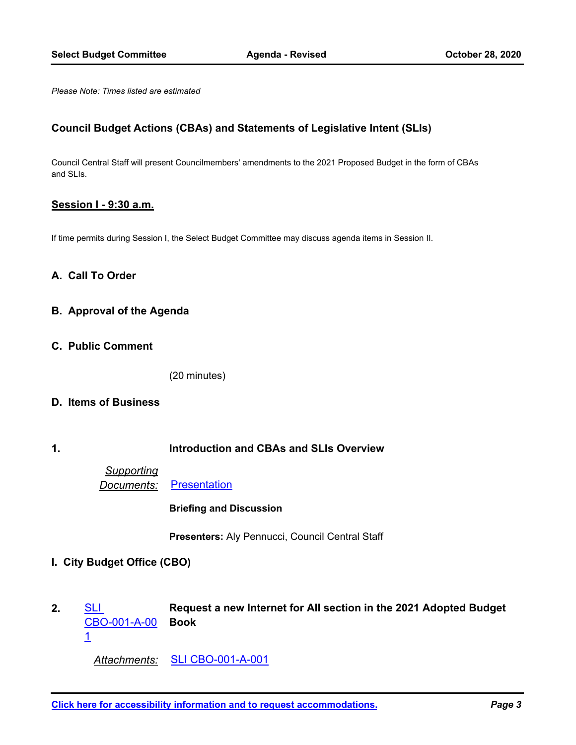*Please Note: Times listed are estimated*

#### **Council Budget Actions (CBAs) and Statements of Legislative Intent (SLIs)**

Council Central Staff will present Councilmembers' amendments to the 2021 Proposed Budget in the form of CBAs and SLIs.

#### **Session I - 9:30 a.m.**

If time permits during Session I, the Select Budget Committee may discuss agenda items in Session II.

#### **A. Call To Order**

- **B. Approval of the Agenda**
- **C. Public Comment**

(20 minutes)

#### **D. Items of Business**

#### **1. Introduction and CBAs and SLIs Overview**

*Supporting Documents:* [Presentation](http://seattle.legistar.com/gateway.aspx?M=F&ID=06b9f97d-02bb-4720-9030-7c9a47c3da51.pdf)

**Briefing and Discussion**

**Presenters:** Aly Pennucci, Council Central Staff

- **I. City Budget Office (CBO)**
- **Request a new Internet for All section in the 2021 Adopted Budget Book SLI** [CBO-001-A-00](http://seattle.legistar.com/gateway.aspx?m=l&id=/matter.aspx?key=10676) 1 **2.**

*Attachments:* [SLI CBO-001-A-001](http://seattle.legistar.com/gateway.aspx?M=F&ID=4061e50d-f00c-4116-bca9-ee38b1fd2c02.docx)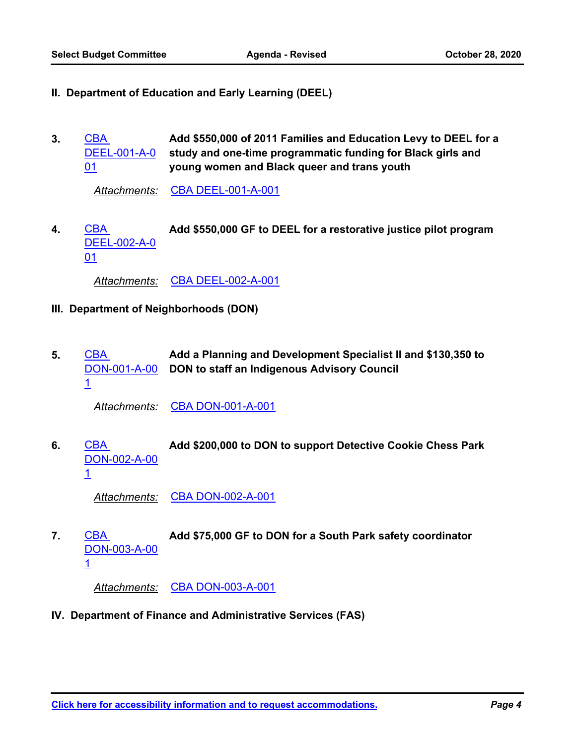- **II. Department of Education and Early Learning (DEEL)**
- **Add \$550,000 of 2011 Families and Education Levy to DEEL for a study and one-time programmatic funding for Black girls and young women and Black queer and trans youth CBA** [DEEL-001-A-0](http://seattle.legistar.com/gateway.aspx?m=l&id=/matter.aspx?key=10685) 01 **3.**

*Attachments:* [CBA DEEL-001-A-001](http://seattle.legistar.com/gateway.aspx?M=F&ID=303efbc9-36ed-405e-aa71-01d410bf616f.docx)

CBA **Add \$550,000 GF to DEEL for a restorative justice pilot program** [DEEL-002-A-0](http://seattle.legistar.com/gateway.aspx?m=l&id=/matter.aspx?key=10686) 01 **4.**

*Attachments:* [CBA DEEL-002-A-001](http://seattle.legistar.com/gateway.aspx?M=F&ID=f3d32280-2bc8-462d-83b5-b6f3849e69a5.docx)

- **III. Department of Neighborhoods (DON)**
- **Add a Planning and Development Specialist II and \$130,350 to DON to staff an Indigenous Advisory Council** CBA [DON-001-A-00](http://seattle.legistar.com/gateway.aspx?m=l&id=/matter.aspx?key=10687) 1 **5.**

*Attachments:* [CBA DON-001-A-001](http://seattle.legistar.com/gateway.aspx?M=F&ID=360a7279-8a64-4a16-8f1c-f20ae918b874.docx)

CBA **Add \$200,000 to DON to support Detective Cookie Chess Park** [DON-002-A-00](http://seattle.legistar.com/gateway.aspx?m=l&id=/matter.aspx?key=10688) 1 **6.**

*Attachments:* [CBA DON-002-A-001](http://seattle.legistar.com/gateway.aspx?M=F&ID=8c476820-8745-47ee-8c8f-06d09d586a46.docx)

CBA **Add \$75,000 GF to DON for a South Park safety coordinator** [DON-003-A-00](http://seattle.legistar.com/gateway.aspx?m=l&id=/matter.aspx?key=10689) 1 **7.**

*Attachments:* [CBA DON-003-A-001](http://seattle.legistar.com/gateway.aspx?M=F&ID=8b9074d0-d529-4bd3-aa09-da4fecd25228.docx)

**IV. Department of Finance and Administrative Services (FAS)**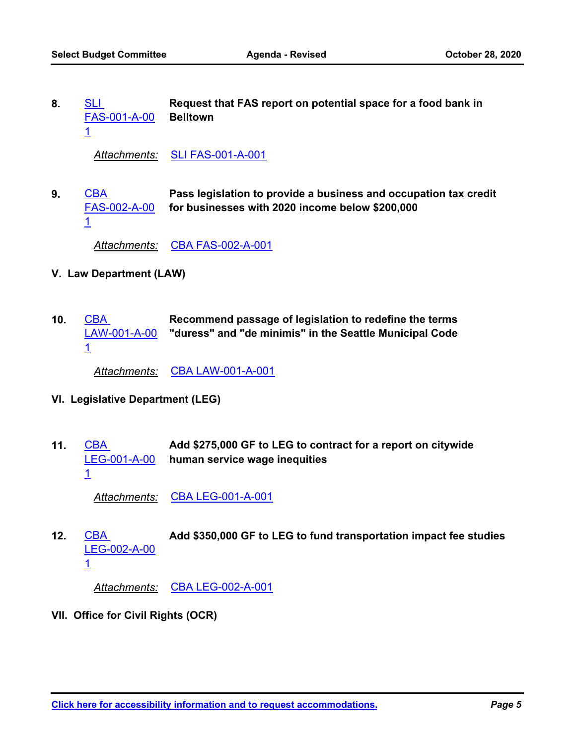**Request that FAS report on potential space for a food bank in Belltown** SLI [FAS-001-A-00](http://seattle.legistar.com/gateway.aspx?m=l&id=/matter.aspx?key=10677) 1 **8.**

*Attachments:* [SLI FAS-001-A-001](http://seattle.legistar.com/gateway.aspx?M=F&ID=42fe8342-0857-4c00-9d74-baa827efa3c1.docx)

**Pass legislation to provide a business and occupation tax credit for businesses with 2020 income below \$200,000 CBA** [FAS-002-A-00](http://seattle.legistar.com/gateway.aspx?m=l&id=/matter.aspx?key=10690) 1 **9.**

*Attachments:* [CBA FAS-002-A-001](http://seattle.legistar.com/gateway.aspx?M=F&ID=de0179f9-2d0a-4839-8cd2-3e476d19659c.docx)

- **V. Law Department (LAW)**
- **Recommend passage of legislation to redefine the terms "duress" and "de minimis" in the Seattle Municipal Code** CBA [LAW-001-A-00](http://seattle.legistar.com/gateway.aspx?m=l&id=/matter.aspx?key=10691) 1 **10.**

*Attachments:* [CBA LAW-001-A-001](http://seattle.legistar.com/gateway.aspx?M=F&ID=9d3ec75e-c31a-4a8f-af7b-30adba350618.docx)

- **VI. Legislative Department (LEG)**
- **Add \$275,000 GF to LEG to contract for a report on citywide human service wage inequities** CBA [LEG-001-A-00](http://seattle.legistar.com/gateway.aspx?m=l&id=/matter.aspx?key=10692) 1 **11.**

*Attachments:* [CBA LEG-001-A-001](http://seattle.legistar.com/gateway.aspx?M=F&ID=a5b91c7c-212b-4cea-8435-c7d1bb00ed17.docx)

CBA **Add \$350,000 GF to LEG to fund transportation impact fee studies** [LEG-002-A-00](http://seattle.legistar.com/gateway.aspx?m=l&id=/matter.aspx?key=10693) 1 **12.**

*Attachments:* [CBA LEG-002-A-001](http://seattle.legistar.com/gateway.aspx?M=F&ID=716859d4-52bd-43b0-ac81-805177bfccab.docx)

**VII. Office for Civil Rights (OCR)**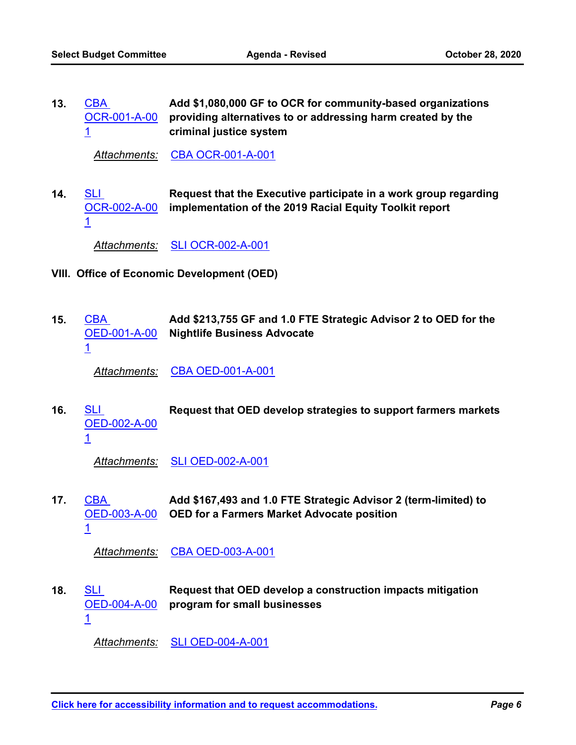**Add \$1,080,000 GF to OCR for community-based organizations [OCR-001-A-00](http://seattle.legistar.com/gateway.aspx?m=l&id=/matter.aspx?key=10694)** providing alternatives to or addressing harm created by the **criminal justice system CBA** 1 **13.**

*Attachments:* [CBA OCR-001-A-001](http://seattle.legistar.com/gateway.aspx?M=F&ID=0305f649-125c-4aee-8584-800acbabea55.docx)

**Request that the Executive participate in a work group regarding implementation of the 2019 Racial Equity Toolkit report** SLI [OCR-002-A-00](http://seattle.legistar.com/gateway.aspx?m=l&id=/matter.aspx?key=10678) 1 **14.**

*Attachments:* [SLI OCR-002-A-001](http://seattle.legistar.com/gateway.aspx?M=F&ID=429a47dd-3f89-456c-9f8b-54cc86060ce9.docx)

- **VIII. Office of Economic Development (OED)**
- **Add \$213,755 GF and 1.0 FTE Strategic Advisor 2 to OED for the Nightlife Business Advocate** CBA [OED-001-A-00](http://seattle.legistar.com/gateway.aspx?m=l&id=/matter.aspx?key=10695) 1 **15.**

*Attachments:* [CBA OED-001-A-001](http://seattle.legistar.com/gateway.aspx?M=F&ID=24b602dd-281b-420f-a7a9-60397398a44f.docx)

SLI **Request that OED develop strategies to support farmers markets** [OED-002-A-00](http://seattle.legistar.com/gateway.aspx?m=l&id=/matter.aspx?key=10679) 1 **16.**

*Attachments:* [SLI OED-002-A-001](http://seattle.legistar.com/gateway.aspx?M=F&ID=ad70eab7-5101-4b64-8995-65eed9d86712.docx)

**Add \$167,493 and 1.0 FTE Strategic Advisor 2 (term-limited) to**  [OED-003-A-00](http://seattle.legistar.com/gateway.aspx?m=l&id=/matter.aspx?key=10696) OED for a Farmers Market Advocate position CBA 1 **17.**

*Attachments:* [CBA OED-003-A-001](http://seattle.legistar.com/gateway.aspx?M=F&ID=ac99611a-0a3c-491e-8e1d-f420348a267b.docx)

**Request that OED develop a construction impacts mitigation program for small businesses** SLI [OED-004-A-00](http://seattle.legistar.com/gateway.aspx?m=l&id=/matter.aspx?key=10680) 1 **18.**

*Attachments:* [SLI OED-004-A-001](http://seattle.legistar.com/gateway.aspx?M=F&ID=067c0114-c7d9-46fe-98ba-220bcf6eb982.docx)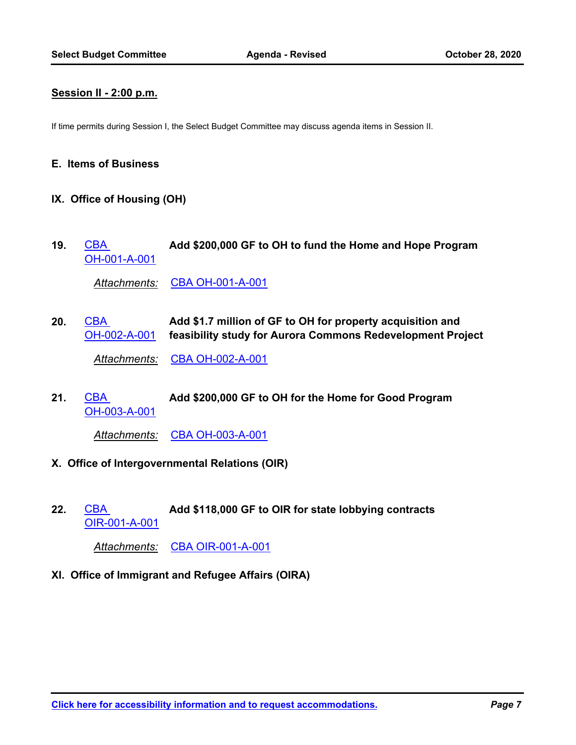#### **Session II - 2:00 p.m.**

If time permits during Session I, the Select Budget Committee may discuss agenda items in Session II.

#### **E. Items of Business**

- **IX. Office of Housing (OH)**
- CBA **Add \$200,000 GF to OH to fund the Home and Hope Program** [OH-001-A-001](http://seattle.legistar.com/gateway.aspx?m=l&id=/matter.aspx?key=10697) **19.**

*Attachments:* [CBA OH-001-A-001](http://seattle.legistar.com/gateway.aspx?M=F&ID=4f38bc97-5182-484b-a4ac-bb770aa5411a.docx)

**Add \$1.7 million of GF to OH for property acquisition and feasibility study for Aurora Commons Redevelopment Project** CBA [OH-002-A-001](http://seattle.legistar.com/gateway.aspx?m=l&id=/matter.aspx?key=10698) **20.** *Attachments:* [CBA OH-002-A-001](http://seattle.legistar.com/gateway.aspx?M=F&ID=02587bac-e865-430d-956b-4fce7d55508f.docx)

CBA **Add \$200,000 GF to OH for the Home for Good Program** [OH-003-A-001](http://seattle.legistar.com/gateway.aspx?m=l&id=/matter.aspx?key=10699) **21.**

*Attachments:* [CBA OH-003-A-001](http://seattle.legistar.com/gateway.aspx?M=F&ID=e7233600-6862-4f36-aa8c-d8edcca3ea78.docx)

- **X. Office of Intergovernmental Relations (OIR)**
- CBA **Add \$118,000 GF to OIR for state lobbying contracts** [OIR-001-A-001](http://seattle.legistar.com/gateway.aspx?m=l&id=/matter.aspx?key=10700) **22.**

*Attachments:* [CBA OIR-001-A-001](http://seattle.legistar.com/gateway.aspx?M=F&ID=3c5c8957-784c-47f0-8827-cf05fa193098.docx)

**XI. Office of Immigrant and Refugee Affairs (OIRA)**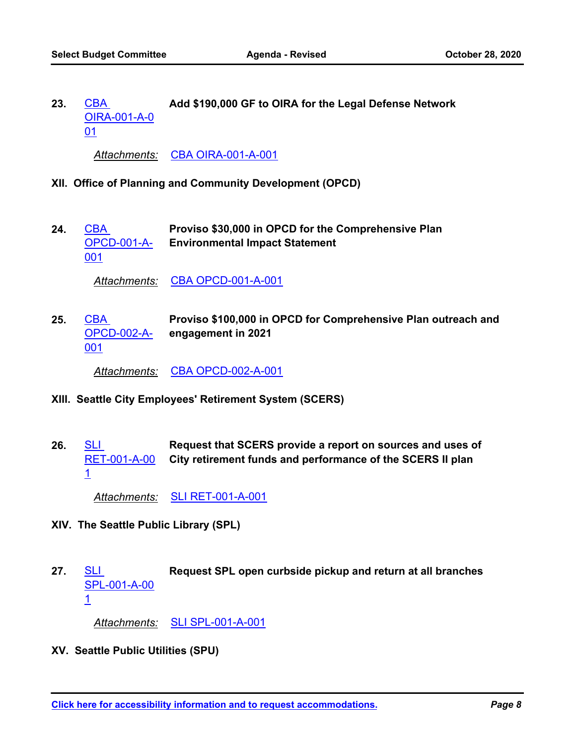CBA **Add \$190,000 GF to OIRA for the Legal Defense Network** [OIRA-001-A-0](http://seattle.legistar.com/gateway.aspx?m=l&id=/matter.aspx?key=10701) 01 **23.**

*Attachments:* [CBA OIRA-001-A-001](http://seattle.legistar.com/gateway.aspx?M=F&ID=430ece62-7551-4127-aa8a-006c5ed6c994.docx)

- **XII. Office of Planning and Community Development (OPCD)**
- **Proviso \$30,000 in OPCD for the Comprehensive Plan Environmental Impact Statement CBA** [OPCD-001-A-](http://seattle.legistar.com/gateway.aspx?m=l&id=/matter.aspx?key=10702)001 **24.**

*Attachments:* [CBA OPCD-001-A-001](http://seattle.legistar.com/gateway.aspx?M=F&ID=2ad5e9db-3f7f-45f5-93f7-5d1c79c2b375.docx)

**Proviso \$100,000 in OPCD for Comprehensive Plan outreach and engagement in 2021** CBA [OPCD-002-A-](http://seattle.legistar.com/gateway.aspx?m=l&id=/matter.aspx?key=10703)001 **25.**

*Attachments:* [CBA OPCD-002-A-001](http://seattle.legistar.com/gateway.aspx?M=F&ID=6d8bf52d-4286-4523-a6c9-54040fb27c0a.docx)

- **XIII. Seattle City Employees' Retirement System (SCERS)**
- **Request that SCERS provide a report on sources and uses of City retirement funds and performance of the SCERS II plan SLI** [RET-001-A-00](http://seattle.legistar.com/gateway.aspx?m=l&id=/matter.aspx?key=10681) 1 **26.**

*Attachments:* [SLI RET-001-A-001](http://seattle.legistar.com/gateway.aspx?M=F&ID=08dbe54a-e7f9-46e5-88d5-ee494449f4b9.docx)

- **XIV. The Seattle Public Library (SPL)**
- SLI **Request SPL open curbside pickup and return at all branches** [SPL-001-A-00](http://seattle.legistar.com/gateway.aspx?m=l&id=/matter.aspx?key=10682) 1 **27.**

*Attachments:* [SLI SPL-001-A-001](http://seattle.legistar.com/gateway.aspx?M=F&ID=1eeb5ed5-698b-4ee9-9fb7-5e9692e59354.docx)

**XV. Seattle Public Utilities (SPU)**